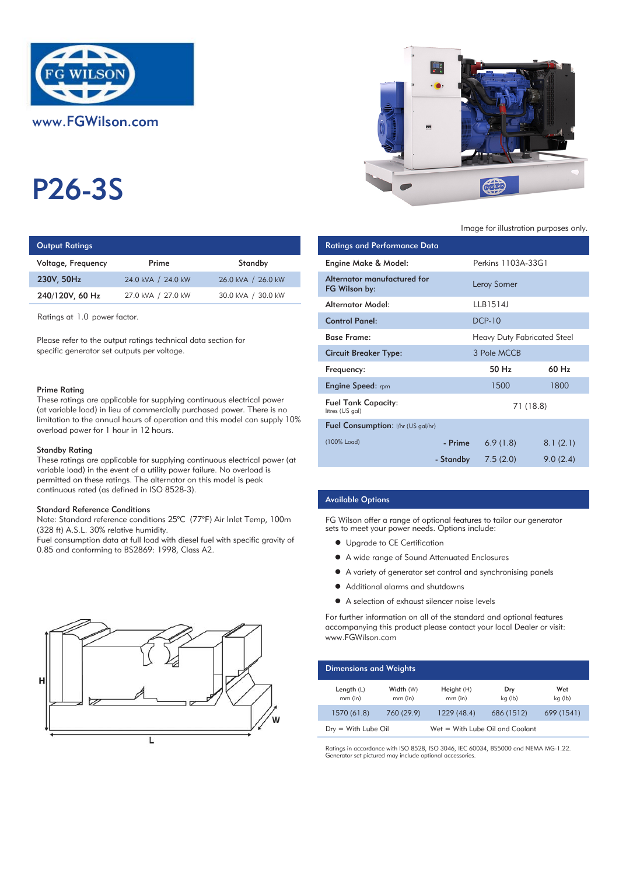

# P26-3S

# **Output Ratings**

| Voltage, Frequency | Prime              | Standby            | Engine Make & Model:  |
|--------------------|--------------------|--------------------|-----------------------|
| 230V, 50Hz         | 24.0 kVA / 24.0 kW | 26.0 kVA / 26.0 kW | Alternator manufactur |
| 240/120V, 60 Hz    | 27.0 kVA / 27.0 kW | 30.0 kVA / 30.0 kW | FG Wilson by:         |
|                    |                    |                    |                       |

#### Prime Rating

### Standby Rating

These ratings are applicable for supplying continuous electrical power (at variable load) in the event of a utility power failure. No overload is permitted on these ratings. The alternator on this model is peak continuous rated (as defined in ISO 8528-3).

#### Standard Reference Conditions

Note: Standard reference conditions 25°C (77°F) Air Inlet Temp, 100m (328 ft) A.S.L. 30% relative humidity.

Fuel consumption data at full load with diesel fuel with specific gravity of 0.85 and conforming to BS2869: 1998, Class A2.





#### Image for illustration purposes only.

| Output Ratings                                                                                                                                                                                                                                                           |                                                                                                                                                                                                                                |                                                                            | <b>Ratings and Performance Data</b>          |           |                                    |
|--------------------------------------------------------------------------------------------------------------------------------------------------------------------------------------------------------------------------------------------------------------------------|--------------------------------------------------------------------------------------------------------------------------------------------------------------------------------------------------------------------------------|----------------------------------------------------------------------------|----------------------------------------------|-----------|------------------------------------|
| Voltage, Frequency                                                                                                                                                                                                                                                       | Prime                                                                                                                                                                                                                          | Standby                                                                    | Engine Make & Model:                         |           | Perkins 1103A-33G1                 |
| 230V, 50Hz                                                                                                                                                                                                                                                               | 24.0 kVA / 24.0 kW                                                                                                                                                                                                             | 26.0 kVA / 26.0 kW                                                         | Alternator manufactured for<br>FG Wilson by: |           | Leroy Somer                        |
| 240/120V, 60 Hz                                                                                                                                                                                                                                                          | 27.0 kVA / 27.0 kW                                                                                                                                                                                                             | 30.0 kVA / 30.0 kW                                                         | <b>Alternator Model:</b>                     |           | LLB1514J                           |
| Ratings at 1.0 power factor.                                                                                                                                                                                                                                             |                                                                                                                                                                                                                                |                                                                            | <b>Control Panel:</b>                        |           | <b>DCP-10</b>                      |
| Please refer to the output ratings technical data section for                                                                                                                                                                                                            |                                                                                                                                                                                                                                |                                                                            | <b>Base Frame:</b>                           |           | <b>Heavy Duty Fabricated Steel</b> |
| specific generator set outputs per voltage.                                                                                                                                                                                                                              |                                                                                                                                                                                                                                |                                                                            | <b>Circuit Breaker Type:</b>                 |           | 3 Pole MCCB                        |
|                                                                                                                                                                                                                                                                          |                                                                                                                                                                                                                                |                                                                            | Frequency:                                   |           | 50 Hz                              |
| Prime Rating                                                                                                                                                                                                                                                             |                                                                                                                                                                                                                                |                                                                            | <b>Engine Speed:</b> rpm                     |           | 1500                               |
| These ratings are applicable for supplying continuous electrical power<br>(at variable load) in lieu of commercially purchased power. There is no<br>limitation to the annual hours of operation and this model can supply 10%<br>overload power for 1 hour in 12 hours. |                                                                                                                                                                                                                                | <b>Fuel Tank Capacity:</b><br>litres (US gal)                              |                                              | 71 (18.8) |                                    |
|                                                                                                                                                                                                                                                                          |                                                                                                                                                                                                                                | Fuel Consumption: I/hr (US gal/hr)                                         |                                              |           |                                    |
| Standby Rating                                                                                                                                                                                                                                                           |                                                                                                                                                                                                                                |                                                                            | (100% Load)                                  | - Prime   | 6.9(1.8)                           |
|                                                                                                                                                                                                                                                                          | the second contract of the second contract of the second contract of the second contract of the second contract of the second contract of the second contract of the second contract of the second contract of the second cont | These ratings are applicable for supplying continuous electrical power (at |                                              | - Standby | 7.5(2.0)                           |

## Available Options

FG Wilson offer a range of optional features to tailor our generator sets to meet your power needs. Options include:

- **•** Upgrade to CE Certification
- A wide range of Sound Attenuated Enclosures
- A variety of generator set control and synchronising panels
- Additional alarms and shutdowns
- A selection of exhaust silencer noise levels

For further information on all of the standard and optional features accompanying this product please contact your local Dealer or visit: www.FGWilson.com

| <b>Dimensions and Weights</b> |                        |                                 |                |                |  |
|-------------------------------|------------------------|---------------------------------|----------------|----------------|--|
| Length $(L)$<br>$mm$ (in)     | Width (W)<br>$mm$ (in) | Height(H)<br>$mm$ (in)          | Dry<br>kg (lb) | Wet<br>kg (lb) |  |
| 1570 (61.8)                   | 760 (29.9)             | 1229 (48.4)                     | 686 (1512)     | 699 (1541)     |  |
| $Drv = With Lube Oil$         |                        | Wet = With Lube Oil and Coolant |                |                |  |

Ratings in accordance with ISO 8528, ISO 3046, IEC 60034, BS5000 and NEMA MG-1.22. Generator set pictured may include optional accessories.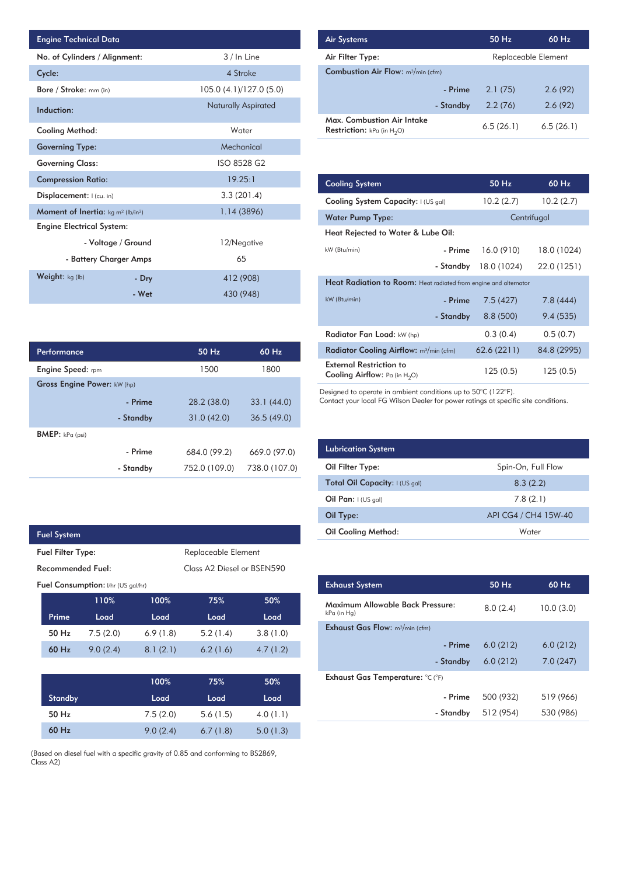| <b>Engine Technical Data</b>                               |                        |                            | <b>Air Systems</b>               |
|------------------------------------------------------------|------------------------|----------------------------|----------------------------------|
| No. of Cylinders / Alignment:                              |                        | 3 / In Line                | Air Filter Ty                    |
| Cycle:                                                     |                        | 4 Stroke                   | <b>Combustion</b>                |
| Bore / Stroke: mm (in)                                     |                        | 105.0 (4.1)/127.0 (5.0)    |                                  |
| Induction:                                                 |                        | <b>Naturally Aspirated</b> |                                  |
| <b>Cooling Method:</b>                                     |                        | Water                      | Max. Comb<br><b>Restriction:</b> |
| <b>Governing Type:</b>                                     |                        | Mechanical                 |                                  |
| <b>Governing Class:</b>                                    |                        | ISO 8528 G2                |                                  |
| <b>Compression Ratio:</b>                                  |                        | 19.25:1                    | <b>Cooling Sys</b>               |
| Displacement:  (cu. in)                                    |                        | 3.3(201.4)                 | <b>Cooling Sys</b>               |
| Moment of Inertia: kg m <sup>2</sup> (lb/in <sup>2</sup> ) |                        | 1.14(3896)                 | Water Pum                        |
| <b>Engine Electrical System:</b>                           |                        |                            | <b>Heat Reject</b>               |
|                                                            | - Voltage / Ground     | 12/Negative                | kW (Btu/min)                     |
|                                                            | - Battery Charger Amps | 65                         |                                  |
| Weight: kg (lb)                                            | - Dry                  | 412 (908)                  | <b>Heat Radia</b>                |
|                                                            | - Wet                  | 430 (948)                  | kW (Btu/min)                     |

| Performance                 |           | 50 Hz         | $60$ Hz       |
|-----------------------------|-----------|---------------|---------------|
| <b>Engine Speed:</b> rpm    |           | 1500          | 1800          |
| Gross Engine Power: kW (hp) |           |               |               |
|                             | - Prime   | 28.2 (38.0)   | 33.1(44.0)    |
|                             | - Standby | 31.0(42.0)    | 36.5(49.0)    |
| <b>BMEP:</b> $kPa$ (psi)    |           |               |               |
|                             | - Prime   | 684.0 (99.2)  | 669.0 (97.0)  |
|                             | - Standby | 752.0 (109.0) | 738.0 (107.0) |

|                                    | <b>Fuel System</b> |          |                            |                     |          |
|------------------------------------|--------------------|----------|----------------------------|---------------------|----------|
| <b>Fuel Filter Type:</b>           |                    |          |                            | Replaceable Element |          |
| Recommended Fuel:                  |                    |          | Class A2 Diesel or BSEN590 |                     |          |
| Fuel Consumption: I/hr (US gal/hr) |                    |          |                            |                     |          |
|                                    |                    | 110%     | 100%                       | 75%                 | 50%      |
|                                    | Prime              | Load     | Load                       | Load                | Load     |
|                                    | 50 Hz              | 7.5(2.0) | 6.9(1.8)                   | 5.2(1.4)            | 3.8(1.0) |
|                                    | 60 Hz              | 9.0(2.4) | 8.1(2.1)                   | 6.2(1.6)            | 4.7(1.2) |
|                                    |                    |          |                            |                     |          |
|                                    |                    |          | 100%                       | 75%                 | 50%      |
|                                    | Cancella de la co  |          | المستقال                   | المحمولة            | المستقال |

I

| <b>Standby</b> | Load     | Load     | Load     |
|----------------|----------|----------|----------|
| 50 Hz          | 7.5(2.0) | 5.6(1.5) | 4.0(1.1) |
| 60 Hz          | 9.0(2.4) | 6.7(1.8) | 5.0(1.3) |

(Based on diesel fuel with a specific gravity of 0.85 and conforming to BS2869, Class A2)

| <b>Air Systems</b>                                                 | 50 Hz     | 60 Hz               |  |
|--------------------------------------------------------------------|-----------|---------------------|--|
| Air Filter Type:                                                   |           | Replaceable Element |  |
| <b>Combustion Air Flow:</b> m <sup>3</sup> /min (cfm)              |           |                     |  |
| - Prime                                                            | 2.1(75)   | 2.6(92)             |  |
| - Standby                                                          | 2.2(76)   | 2.6(92)             |  |
| Max. Combustion Air Intake<br><b>Restriction:</b> kPa (in $H_2O$ ) | 6.5(26.1) | 6.5(26.1)           |  |

|            | 19.25:1     | <b>Cooling System</b>                                                     |                                                                  | 50 Hz       | 60 Hz       |  |  |
|------------|-------------|---------------------------------------------------------------------------|------------------------------------------------------------------|-------------|-------------|--|--|
| 3.3(201.4) |             | Cooling System Capacity: I (US gal)                                       |                                                                  | 10.2(2.7)   | 10.2(2.7)   |  |  |
|            | 1.14(3896)  | Water Pump Type:                                                          |                                                                  |             | Centrifugal |  |  |
|            |             | Heat Rejected to Water & Lube Oil:                                        |                                                                  |             |             |  |  |
|            | 12/Negative | kW (Btu/min)                                                              | - Prime                                                          | 16.0(910)   | 18.0 (1024) |  |  |
|            | 65          |                                                                           | - Standby                                                        | 18.0 (1024) | 22.0 (1251) |  |  |
| 412 (908)  |             |                                                                           | Heat Radiation to Room: Heat radiated from engine and alternator |             |             |  |  |
|            | 430 (948)   | kW (Btu/min)                                                              | - Prime                                                          | 7.5(427)    | 7.8(444)    |  |  |
|            |             |                                                                           | - Standby                                                        | 8.8(500)    | 9.4(535)    |  |  |
|            |             | Radiator Fan Load: kW (hp)                                                |                                                                  | 0.3(0.4)    | 0.5(0.7)    |  |  |
| 50 Hz      | 60 Hz       | Radiator Cooling Airflow: m <sup>3</sup> /min (cfm)                       |                                                                  | 62.6(2211)  | 84.8 (2995) |  |  |
| 1500       | 1800        | <b>External Restriction to</b><br><b>Cooling Airflow:</b> Pa (in $H_2O$ ) |                                                                  | 125(0.5)    | 125(0.5)    |  |  |
|            |             |                                                                           |                                                                  |             |             |  |  |

Designed to operate in ambient conditions up to 50°C (122°F).

Contact your local FG Wilson Dealer for power ratings at specific site conditions.

| <b>Lubrication System</b>      |                      |
|--------------------------------|----------------------|
| Oil Filter Type:               | Spin-On, Full Flow   |
| Total Oil Capacity: I (US gal) | 8.3(2.2)             |
| Oil Pan: $(US gal)$            | 7.8(2.1)             |
| Oil Type:                      | API CG4 / CH4 15W-40 |
| <b>Oil Cooling Method:</b>     | Water                |

| <b>Exhaust System</b>                           | 50 Hz     | 60 Hz     |
|-------------------------------------------------|-----------|-----------|
| Maximum Allowable Back Pressure:<br>kPa (in Hg) | 8.0(2.4)  | 10.0(3.0) |
| <b>Exhaust Gas Flow:</b> $m^3/m$ in (cfm)       |           |           |
| - Prime                                         | 6.0(212)  | 6.0(212)  |
| - Standby                                       | 6.0(212)  | 7.0(247)  |
| Exhaust Gas Temperature: °C (°F)                |           |           |
| - Prime                                         | 500 (932) | 519 (966) |
| - Standby                                       | 512 (954) | 530 (986) |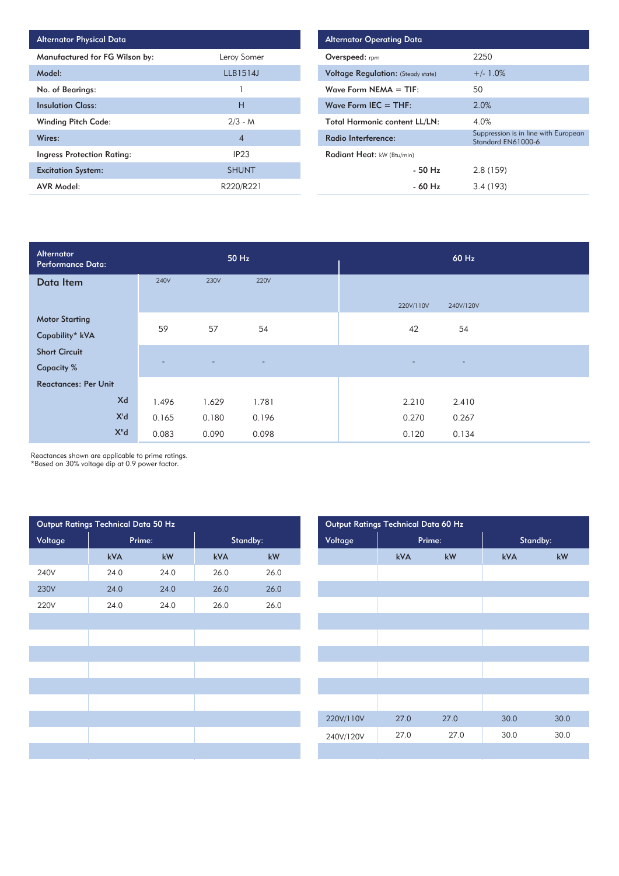| <b>Alternator Physical Data</b>   |                |
|-----------------------------------|----------------|
| Manufactured for FG Wilson by:    | Leroy Somer    |
| Model:                            | LLB1514J       |
| No. of Bearings:                  |                |
| <b>Insulation Class:</b>          | н              |
| <b>Winding Pitch Code:</b>        | $2/3 - M$      |
| Wires:                            | $\overline{4}$ |
| <b>Ingress Protection Rating:</b> | IP23           |
| <b>Excitation System:</b>         | <b>SHUNT</b>   |
| <b>AVR Model:</b>                 | R220/R221      |

| <b>Alternator Operating Data</b>          |                                                            |  |  |  |  |  |  |  |  |
|-------------------------------------------|------------------------------------------------------------|--|--|--|--|--|--|--|--|
| <b>Overspeed:</b> rpm                     | 2250                                                       |  |  |  |  |  |  |  |  |
| <b>Voltage Regulation:</b> (Steady state) | $+/- 1.0\%$                                                |  |  |  |  |  |  |  |  |
| Wave Form NEMA $=$ TIF:                   | 50                                                         |  |  |  |  |  |  |  |  |
| Wave Form IEC $=$ THF:                    | 2.0%                                                       |  |  |  |  |  |  |  |  |
| <b>Total Harmonic content LL/LN:</b>      | 4.0%                                                       |  |  |  |  |  |  |  |  |
| Radio Interference:                       | Suppression is in line with European<br>Standard EN61000-6 |  |  |  |  |  |  |  |  |
| Radiant Heat: kW (Btu/min)                |                                                            |  |  |  |  |  |  |  |  |
| $-50$ H <sub>z</sub>                      | 2.8(159)                                                   |  |  |  |  |  |  |  |  |
| - 60 Hz                                   | 3.4(193)                                                   |  |  |  |  |  |  |  |  |

| Alternator<br>Performance Data: |             | 50 Hz          |                          | 60 Hz                                                |
|---------------------------------|-------------|----------------|--------------------------|------------------------------------------------------|
| Data Item                       | <b>240V</b> | 230V           | <b>220V</b>              |                                                      |
|                                 |             |                |                          | 220V/110V<br>240V/120V                               |
| <b>Motor Starting</b>           | 59          | 57             | 54                       | 42<br>54                                             |
| Capability* kVA                 |             |                |                          |                                                      |
| <b>Short Circuit</b>            |             |                |                          |                                                      |
| <b>Capacity %</b>               |             | $\overline{a}$ | $\overline{\phantom{a}}$ | $\overline{\phantom{0}}$<br>$\overline{\phantom{0}}$ |
| <b>Reactances: Per Unit</b>     |             |                |                          |                                                      |
| Xd                              | 1.496       | 1.629          | 1.781                    | 2.210<br>2.410                                       |
| X'd                             | 0.165       | 0.180          | 0.196                    | 0.270<br>0.267                                       |
| $X^{\prime\prime}$ d            | 0.083       | 0.090          | 0.098                    | 0.120<br>0.134                                       |

Reactances shown are applicable to prime ratings.

\*Based on 30% voltage dip at 0.9 power factor.

| Output Ratings Technical Data 50 Hz |        |      |          |      | Output Ratings Technical Data 60 Hz |           |      |        |          |
|-------------------------------------|--------|------|----------|------|-------------------------------------|-----------|------|--------|----------|
| Voltage                             | Prime: |      | Standby: |      | Voltage                             |           |      | Prime: | Standby: |
|                                     | kVA    | kW   | kVA      | kW   |                                     |           | kVA  | kW     | kVA      |
| 240V                                | 24.0   | 24.0 | 26.0     | 26.0 |                                     |           |      |        |          |
| 230V                                | 24.0   | 24.0 | 26.0     | 26.0 |                                     |           |      |        |          |
| <b>220V</b>                         | 24.0   | 24.0 | 26.0     | 26.0 |                                     |           |      |        |          |
|                                     |        |      |          |      |                                     |           |      |        |          |
|                                     |        |      |          |      |                                     |           |      |        |          |
|                                     |        |      |          |      |                                     |           |      |        |          |
|                                     |        |      |          |      |                                     |           |      |        |          |
|                                     |        |      |          |      |                                     |           |      |        |          |
|                                     |        |      |          |      |                                     |           |      |        |          |
|                                     |        |      |          |      |                                     | 220V/110V | 27.0 | 27.0   | 30.0     |
|                                     |        |      |          |      |                                     | 240V/120V | 27.0 | 27.0   | 30.0     |
|                                     |        |      |          |      |                                     |           |      |        |          |